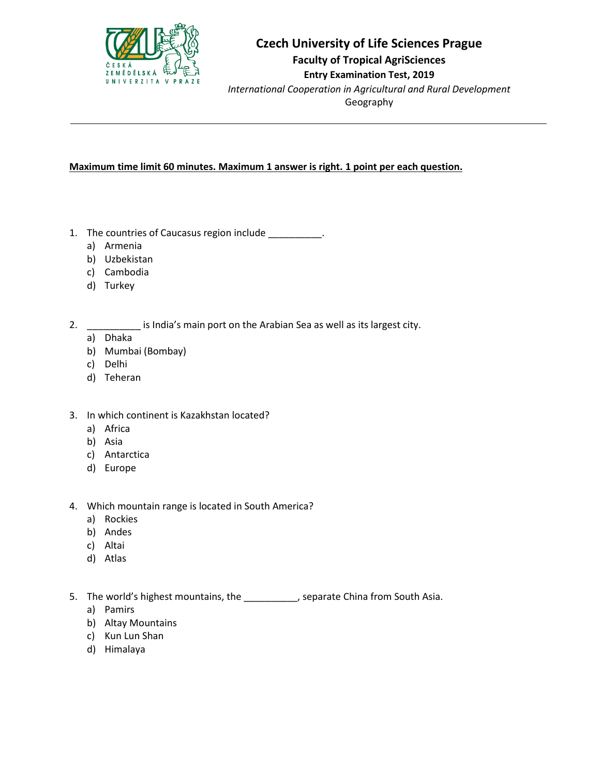

## **Czech University of Life Sciences Prague Faculty of Tropical AgriSciences Entry Examination Test, 2019**

*International Cooperation in Agricultural and Rural Development* Geography

### **Maximum time limit 60 minutes. Maximum 1 answer is right. 1 point per each question.**

- 1. The countries of Caucasus region include \_\_\_\_\_\_\_\_\_\_\_.
	- a) Armenia
	- b) Uzbekistan
	- c) Cambodia
	- d) Turkey
- 2. \_\_\_\_\_\_\_\_\_\_\_ is India's main port on the Arabian Sea as well as its largest city.
	- a) Dhaka
	- b) Mumbai (Bombay)
	- c) Delhi
	- d) Teheran
- 3. In which continent is Kazakhstan located?
	- a) Africa
	- b) Asia
	- c) Antarctica
	- d) Europe
- 4. Which mountain range is located in South America?
	- a) Rockies
	- b) Andes
	- c) Altai
	- d) Atlas

5. The world's highest mountains, the \_\_\_\_\_\_\_\_\_\_, separate China from South Asia.

- a) Pamirs
- b) Altay Mountains
- c) Kun Lun Shan
- d) Himalaya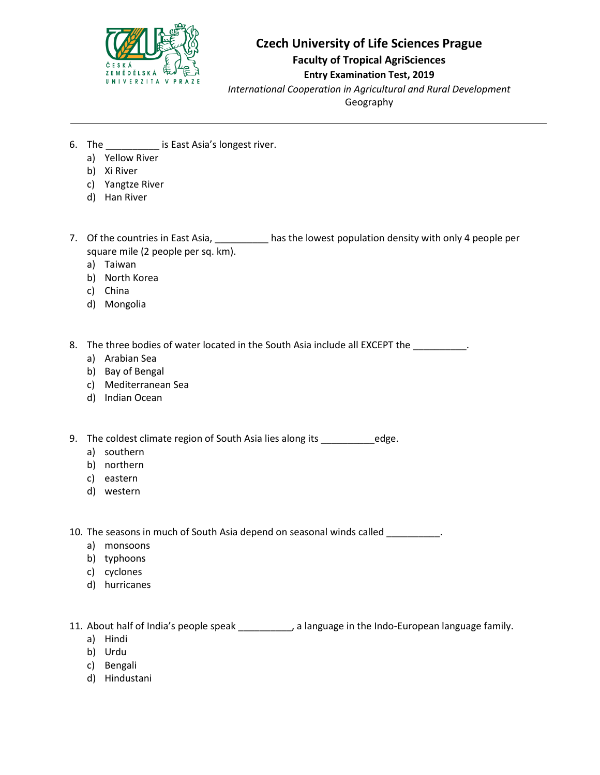

**Faculty of Tropical AgriSciences**

### **Entry Examination Test, 2019**

*International Cooperation in Agricultural and Rural Development*

Geography

- 6. The \_\_\_\_\_\_\_\_\_\_ is East Asia's longest river.
	- a) Yellow River
	- b) Xi River
	- c) Yangtze River
	- d) Han River
- 7. Of the countries in East Asia, \_\_\_\_\_\_\_\_\_\_ has the lowest population density with only 4 people per square mile (2 people per sq. km).
	- a) Taiwan
	- b) North Korea
	- c) China
	- d) Mongolia
- 8. The three bodies of water located in the South Asia include all EXCEPT the \_\_\_\_\_\_\_\_\_\_.
	- a) Arabian Sea
	- b) Bay of Bengal
	- c) Mediterranean Sea
	- d) Indian Ocean
- 9. The coldest climate region of South Asia lies along its \_\_\_\_\_\_\_\_\_\_\_\_\_edge.
	- a) southern
	- b) northern
	- c) eastern
	- d) western

10. The seasons in much of South Asia depend on seasonal winds called \_\_\_\_\_\_\_\_\_.

- a) monsoons
- b) typhoons
- c) cyclones
- d) hurricanes

11. About half of India's people speak \_\_\_\_\_\_\_\_, a language in the Indo-European language family.

- a) Hindi
- b) Urdu
- c) Bengali
- d) Hindustani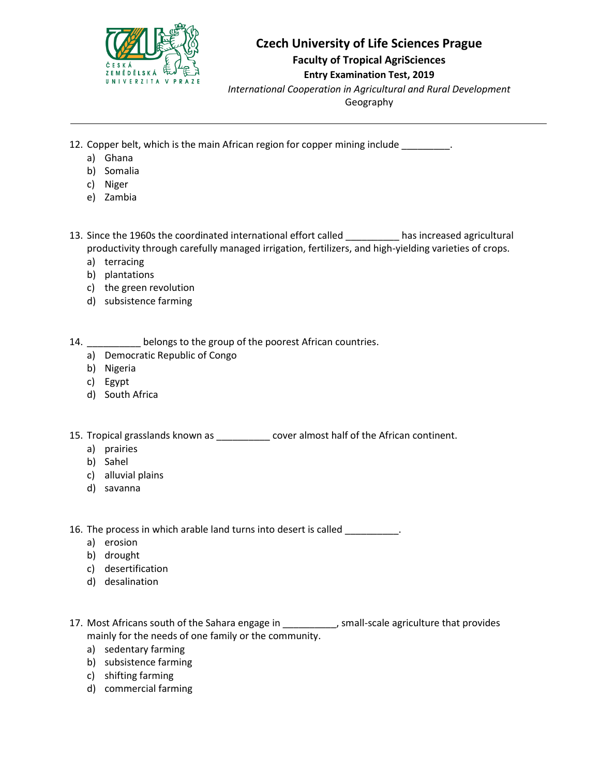

**Faculty of Tropical AgriSciences**

### **Entry Examination Test, 2019**

*International Cooperation in Agricultural and Rural Development*

Geography

- 12. Copper belt, which is the main African region for copper mining include \_\_\_\_\_\_\_\_\_.
	- a) Ghana
	- b) Somalia
	- c) Niger
	- e) Zambia

13. Since the 1960s the coordinated international effort called \_\_\_\_\_\_\_\_\_\_ has increased agricultural productivity through carefully managed irrigation, fertilizers, and high-yielding varieties of crops.

- a) terracing
- b) plantations
- c) the green revolution
- d) subsistence farming

14. **Letter Leongs to the group of the poorest African countries.** 

- a) Democratic Republic of Congo
- b) Nigeria
- c) Egypt
- d) South Africa

15. Tropical grasslands known as  $\qquad \qquad \text{cover}$  almost half of the African continent.

- a) prairies
- b) Sahel
- c) alluvial plains
- d) savanna

16. The process in which arable land turns into desert is called \_\_\_\_\_\_\_\_\_\_.

- a) erosion
- b) drought
- c) desertification
- d) desalination
- 17. Most Africans south of the Sahara engage in \_\_\_\_\_\_\_\_\_, small-scale agriculture that provides mainly for the needs of one family or the community.
	- a) sedentary farming
	- b) subsistence farming
	- c) shifting farming
	- d) commercial farming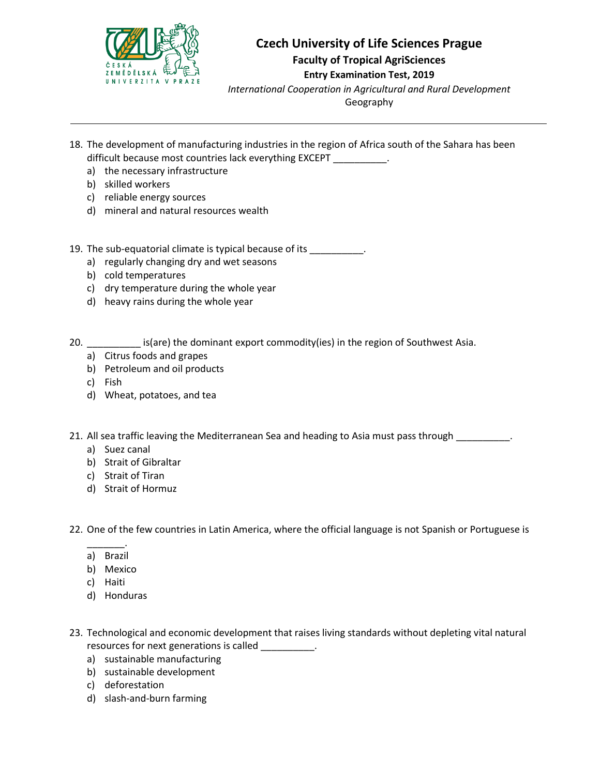

**Faculty of Tropical AgriSciences**

#### **Entry Examination Test, 2019**

*International Cooperation in Agricultural and Rural Development*

Geography

- 18. The development of manufacturing industries in the region of Africa south of the Sahara has been difficult because most countries lack everything EXCEPT \_\_\_\_\_\_\_\_\_\_.
	- a) the necessary infrastructure
	- b) skilled workers
	- c) reliable energy sources
	- d) mineral and natural resources wealth

19. The sub-equatorial climate is typical because of its \_\_\_\_\_\_\_\_\_\_\_.

- a) regularly changing dry and wet seasons
- b) cold temperatures
- c) dry temperature during the whole year
- d) heavy rains during the whole year

20. **Example 20.** Is(are) the dominant export commodity(ies) in the region of Southwest Asia.

- a) Citrus foods and grapes
- b) Petroleum and oil products
- c) Fish
- d) Wheat, potatoes, and tea

21. All sea traffic leaving the Mediterranean Sea and heading to Asia must pass through  $\qquad \qquad$ .

- a) Suez canal
- b) Strait of Gibraltar
- c) Strait of Tiran
- d) Strait of Hormuz

22. One of the few countries in Latin America, where the official language is not Spanish or Portuguese is

- \_\_\_\_\_\_\_. a) Brazil
- b) Mexico
- c) Haiti
- d) Honduras
- 23. Technological and economic development that raises living standards without depleting vital natural resources for next generations is called \_\_\_\_\_\_\_\_\_\_.
	- a) sustainable manufacturing
	- b) sustainable development
	- c) deforestation
	- d) slash-and-burn farming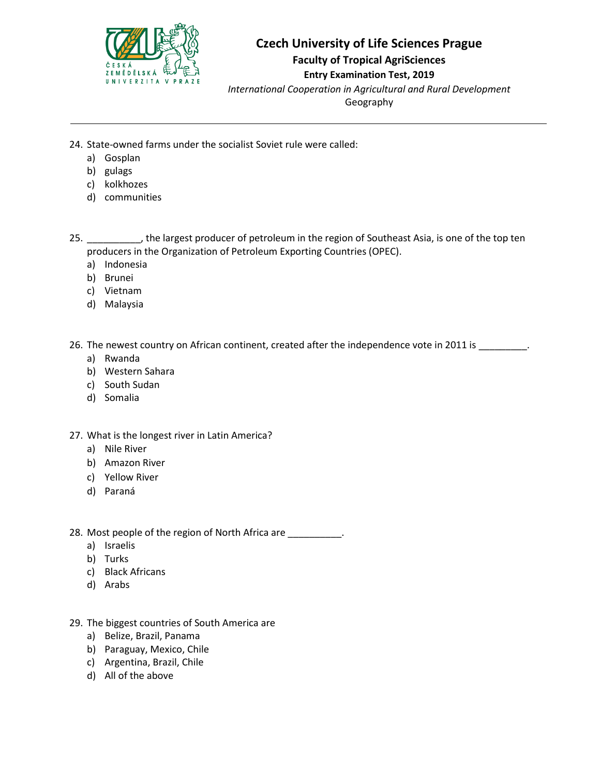

**Faculty of Tropical AgriSciences**

### **Entry Examination Test, 2019**

*International Cooperation in Agricultural and Rural Development*

Geography

- 24. State-owned farms under the socialist Soviet rule were called:
	- a) Gosplan
	- b) gulags
	- c) kolkhozes
	- d) communities

25. \_\_\_\_\_\_\_\_\_\_, the largest producer of petroleum in the region of Southeast Asia, is one of the top ten producers in the Organization of Petroleum Exporting Countries (OPEC).

- a) Indonesia
- b) Brunei
- c) Vietnam
- d) Malaysia

26. The newest country on African continent, created after the independence vote in 2011 is

- a) Rwanda
- b) Western Sahara
- c) South Sudan
- d) Somalia
- 27. What is the longest river in Latin America?
	- a) Nile River
	- b) Amazon River
	- c) Yellow River
	- d) Paraná
- 28. Most people of the region of North Africa are \_\_\_\_\_\_\_\_\_\_.
	- a) Israelis
	- b) Turks
	- c) Black Africans
	- d) Arabs
- 29. The biggest countries of South America are
	- a) Belize, Brazil, Panama
	- b) Paraguay, Mexico, Chile
	- c) Argentina, Brazil, Chile
	- d) All of the above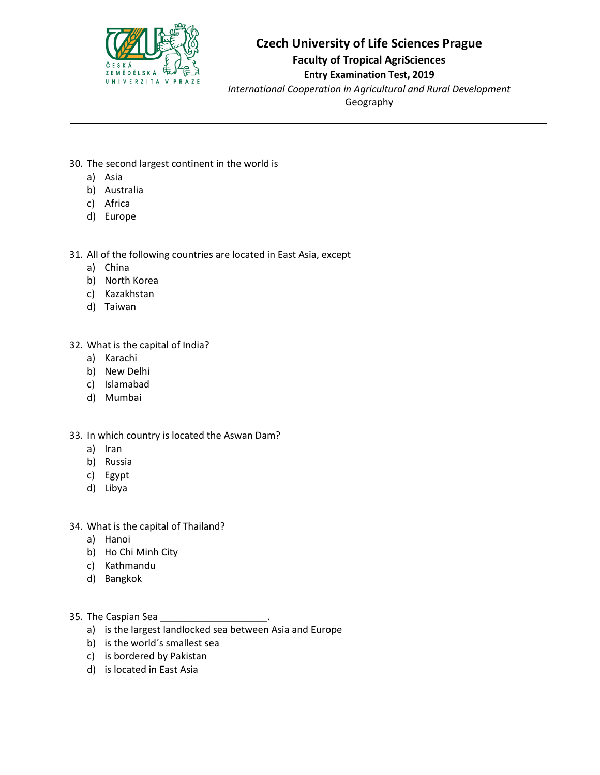

**Faculty of Tropical AgriSciences**

#### **Entry Examination Test, 2019**

*International Cooperation in Agricultural and Rural Development*

Geography

- 30. The second largest continent in the world is
	- a) Asia
	- b) Australia
	- c) Africa
	- d) Europe

31. All of the following countries are located in East Asia, except

- a) China
- b) North Korea
- c) Kazakhstan
- d) Taiwan
- 32. What is the capital of India?
	- a) Karachi
	- b) New Delhi
	- c) Islamabad
	- d) Mumbai

#### 33. In which country is located the Aswan Dam?

- a) Iran
- b) Russia
- c) Egypt
- d) Libya
- 34. What is the capital of Thailand?
	- a) Hanoi
	- b) Ho Chi Minh City
	- c) Kathmandu
	- d) Bangkok

35. The Caspian Sea

- a) is the largest landlocked sea between Asia and Europe
- b) is the world´s smallest sea
- c) is bordered by Pakistan
- d) is located in East Asia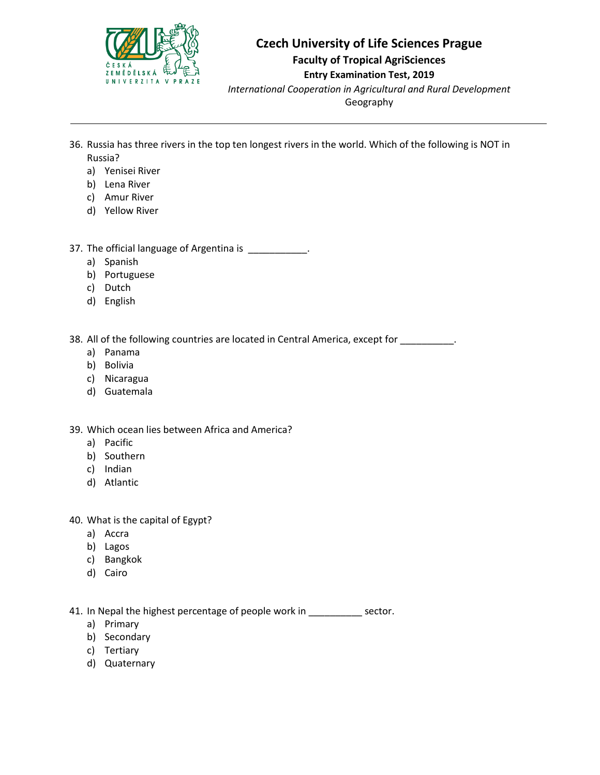

### **Czech University of Life Sciences Prague Faculty of Tropical AgriSciences**

### **Entry Examination Test, 2019**

*International Cooperation in Agricultural and Rural Development* Geography

- 36. Russia has three rivers in the top ten longest rivers in the world. Which of the following is NOT in Russia?
	- a) Yenisei River
	- b) Lena River
	- c) Amur River
	- d) Yellow River

37. The official language of Argentina is \_\_\_\_\_\_\_\_\_\_\_.

- a) Spanish
- b) Portuguese
- c) Dutch
- d) English

38. All of the following countries are located in Central America, except for \_\_\_\_\_\_\_\_\_.

- a) Panama
- b) Bolivia
- c) Nicaragua
- d) Guatemala

39. Which ocean lies between Africa and America?

- a) Pacific
- b) Southern
- c) Indian
- d) Atlantic

40. What is the capital of Egypt?

- a) Accra
- b) Lagos
- c) Bangkok
- d) Cairo

41. In Nepal the highest percentage of people work in \_\_\_\_\_\_\_\_\_ sector.

- a) Primary
- b) Secondary
- c) Tertiary
- d) Quaternary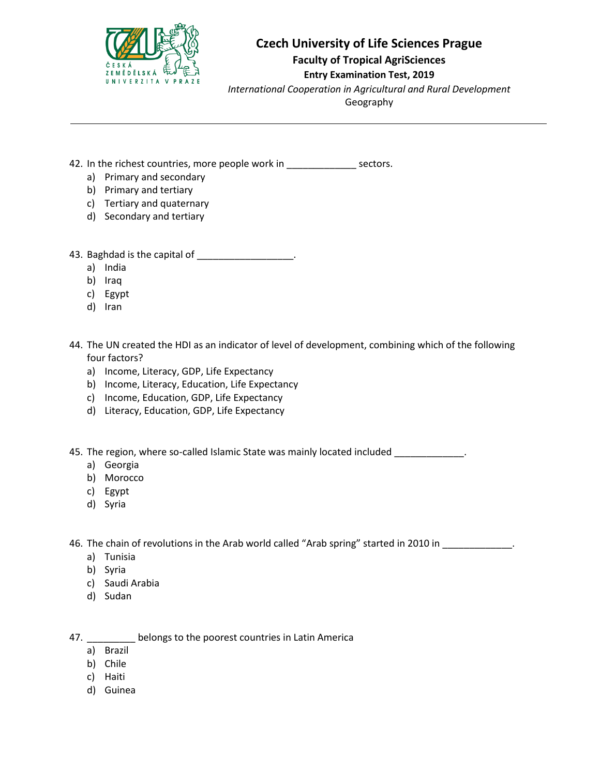

**Faculty of Tropical AgriSciences**

#### **Entry Examination Test, 2019**

*International Cooperation in Agricultural and Rural Development*

Geography

- 42. In the richest countries, more people work in \_\_\_\_\_\_\_\_\_\_\_\_\_\_\_\_\_\_ sectors.
	- a) Primary and secondary
	- b) Primary and tertiary
	- c) Tertiary and quaternary
	- d) Secondary and tertiary
- 43. Baghdad is the capital of  $\blacksquare$ 
	- a) India
	- b) Iraq
	- c) Egypt
	- d) Iran
- 44. The UN created the HDI as an indicator of level of development, combining which of the following four factors?
	- a) Income, Literacy, GDP, Life Expectancy
	- b) Income, Literacy, Education, Life Expectancy
	- c) Income, Education, GDP, Life Expectancy
	- d) Literacy, Education, GDP, Life Expectancy

45. The region, where so-called Islamic State was mainly located included  $\blacksquare$ 

- a) Georgia
- b) Morocco
- c) Egypt
- d) Syria

46. The chain of revolutions in the Arab world called "Arab spring" started in 2010 in \_\_\_\_\_\_\_\_\_\_\_\_\_.

- a) Tunisia
- b) Syria
- c) Saudi Arabia
- d) Sudan

47. **Letter Letters** belongs to the poorest countries in Latin America

- a) Brazil
- b) Chile
- c) Haiti
- d) Guinea